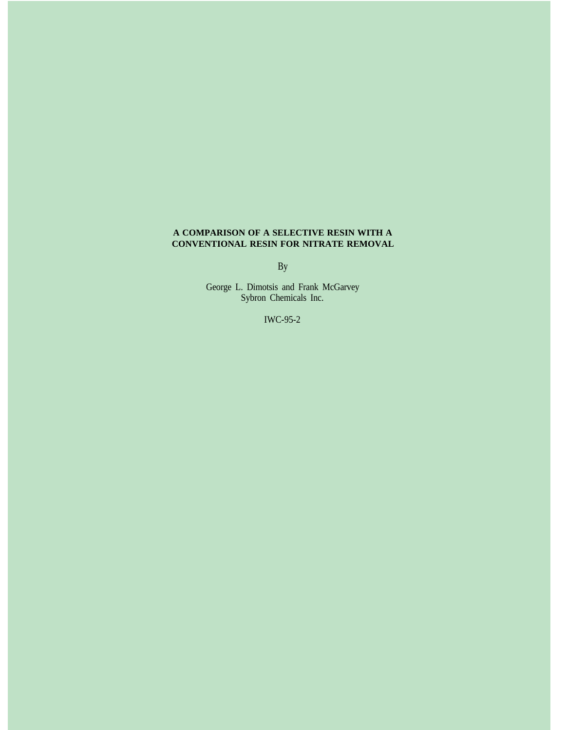### **A COMPARISON OF A SELECTIVE RESIN WITH A CONVENTIONAL RESIN FOR NITRATE REMOVAL**

By

George L. Dimotsis and Frank McGarvey Sybron Chemicals Inc.

IWC-95-2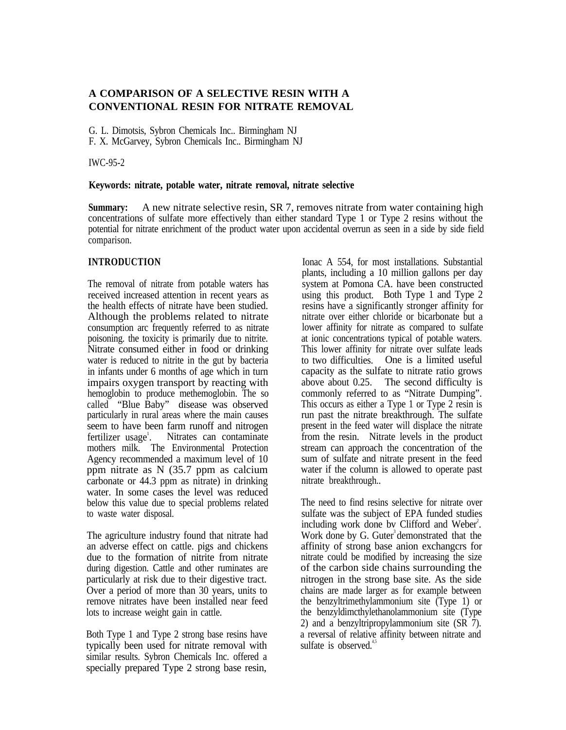## **A COMPARISON OF A SELECTIVE RESIN WITH A CONVENTIONAL RESIN FOR NITRATE REMOVAL**

G. L. Dimotsis, Sybron Chemicals Inc.. Birmingham NJ F. X. McGarvey, Sybron Chemicals Inc.. Birmingham NJ

IWC-95-2

### **Keywords: nitrate, potable water, nitrate removal, nitrate selective**

**Summary:** A new nitrate selective resin, SR 7, removes nitrate from water containing high concentrations of sulfate more effectively than either standard Type 1 or Type 2 resins without the potential for nitrate enrichment of the product water upon accidental overrun as seen in a side by side field comparison.

# **INTRODUCTION**

The removal of nitrate from potable waters has received increased attention in recent years as the health effects of nitrate have been studied. Although the problems related to nitrate consumption arc frequently referred to as nitrate poisoning. the toxicity is primarily due to nitrite. Nitrate consumed either in food or drinking water is reduced to nitrite in the gut by bacteria in infants under 6 months of age which in turn impairs oxygen transport by reacting with hemoglobin to produce methemoglobin. The so called "Blue Baby" disease was observed particularly in rural areas where the main causes seem to have been farm runoff and nitrogen fertilizer usage<sup>1</sup>. . Nitrates can contaminate mothers milk. The Environmental Protection Agency recommended a maximum level of 10 ppm nitrate as N (35.7 ppm as calcium carbonate or 44.3 ppm as nitrate) in drinking water. In some cases the level was reduced below this value due to special problems related to waste water disposal.

The agriculture industry found that nitrate had an adverse effect on cattle. pigs and chickens due to the formation of nitrite from nitrate during digestion. Cattle and other ruminates are particularly at risk due to their digestive tract. Over a period of more than 30 years, units to remove nitrates have been installed near feed lots to increase weight gain in cattle.

Both Type 1 and Type 2 strong base resins have typically been used for nitrate removal with similar results. Sybron Chemicals Inc. offered a specially prepared Type 2 strong base resin,

Ionac A 554, for most installations. Substantial plants, including a 10 million gallons per day system at Pomona CA. have been constructed using this product. Both Type 1 and Type 2 resins have a significantly stronger affinity for nitrate over either chloride or bicarbonate but a lower affinity for nitrate as compared to sulfate at ionic concentrations typical of potable waters. This lower affinity for nitrate over sulfate leads to two difficulties. One is a limited useful capacity as the sulfate to nitrate ratio grows above about 0.25. The second difficulty is commonly referred to as "Nitrate Dumping". This occurs as either a Type 1 or Type 2 resin is run past the nitrate breakthrough. The sulfate present in the feed water will displace the nitrate from the resin. Nitrate levels in the product stream can approach the concentration of the sum of sulfate and nitrate present in the feed water if the column is allowed to operate past nitrate breakthrough..

The need to find resins selective for nitrate over sulfate was the subject of EPA funded studies including work done by Clifford and Weber<sup>2</sup>. Work done by G. Guter<sup>3</sup> demonstrated that the affinity of strong base anion exchangcrs for nitrate could be modified by increasing the size of the carbon side chains surrounding the nitrogen in the strong base site. As the side chains are made larger as for example between the benzyltrimethylammonium site (Type 1) or the benzyldimcthylethanolammonium site (Type 2) and a benzyltripropylammonium site (SR 7). a reversal of relative affinity between nitrate and sulfate is observed. $4,5$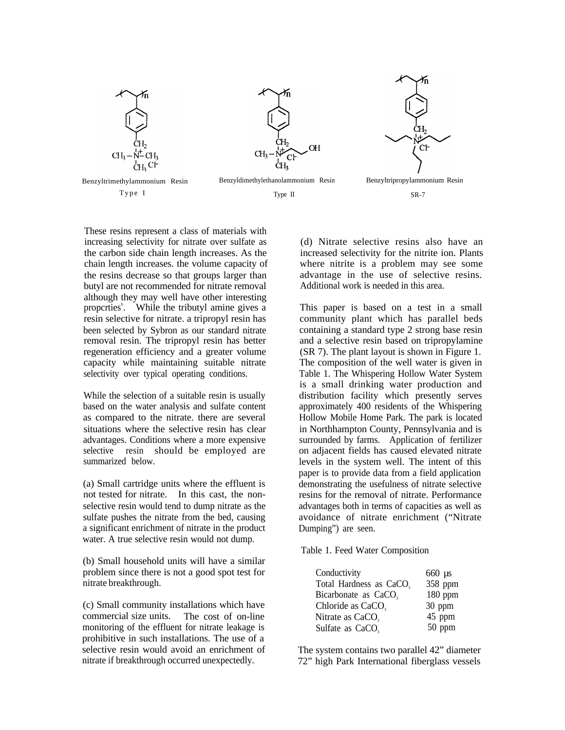









These resins represent a class of materials with increasing selectivity for nitrate over sulfate as the carbon side chain length increases. As the chain length increases. the volume capacity of the resins decrease so that groups larger than butyl are not recommended for nitrate removal although they may well have other interesting propcrties<sup>6</sup>. While the tributyl amine gives a resin selective for nitrate. a tripropyl resin has been selected by Sybron as our standard nitrate removal resin. The tripropyl resin has better regeneration efficiency and a greater volume capacity while maintaining suitable nitrate selectivity over typical operating conditions.

While the selection of a suitable resin is usually based on the water analysis and sulfate content as compared to the nitrate. there are several situations where the selective resin has clear advantages. Conditions where a more expensive selective resin should be employed are summarized below.

(a) Small cartridge units where the effluent is not tested for nitrate. In this cast, the nonselective resin would tend to dump nitrate as the sulfate pushes the nitrate from the bed, causing a significant enrichment of nitrate in the product water. A true selective resin would not dump.

(b) Small household units will have a similar problem since there is not a good spot test for nitrate breakthrough.

(c) Small community installations which have commercial size units. The cost of on-line monitoring of the effluent for nitrate leakage is prohibitive in such installations. The use of a selective resin would avoid an enrichment of nitrate if breakthrough occurred unexpectedly.

(d) Nitrate selective resins also have an increased selectivity for the nitrite ion. Plants where nitrite is a problem may see some advantage in the use of selective resins. Additional work is needed in this area.

This paper is based on a test in a small community plant which has parallel beds containing a standard type 2 strong base resin and a selective resin based on tripropylamine (SR 7). The plant layout is shown in Figure 1. The composition of the well water is given in Table 1. The Whispering Hollow Water System is a small drinking water production and distribution facility which presently serves approximately 400 residents of the Whispering Hollow Mobile Home Park. The park is located in Northhampton County, Pennsylvania and is surrounded by farms. Application of fertilizer on adjacent fields has caused elevated nitrate levels in the system well. The intent of this paper is to provide data from a field application demonstrating the usefulness of nitrate selective resins for the removal of nitrate. Performance advantages both in terms of capacities as well as avoidance of nitrate enrichment ("Nitrate Dumping") are seen.

Table 1. Feed Water Composition

| Conductivity                        | $660 \text{ }\mu\text{s}$ |
|-------------------------------------|---------------------------|
| Total Hardness as CaCO <sub>3</sub> | 358 ppm                   |
| Bicarbonate as CaCO <sub>3</sub>    | 180 ppm                   |
| Chloride as CaCO,                   | 30 ppm                    |
| Nitrate as CaCO <sub>3</sub>        | 45 ppm                    |
| Sulfate as CaCO <sub>3</sub>        | 50 ppm                    |

The system contains two parallel 42" diameter 72" high Park International fiberglass vessels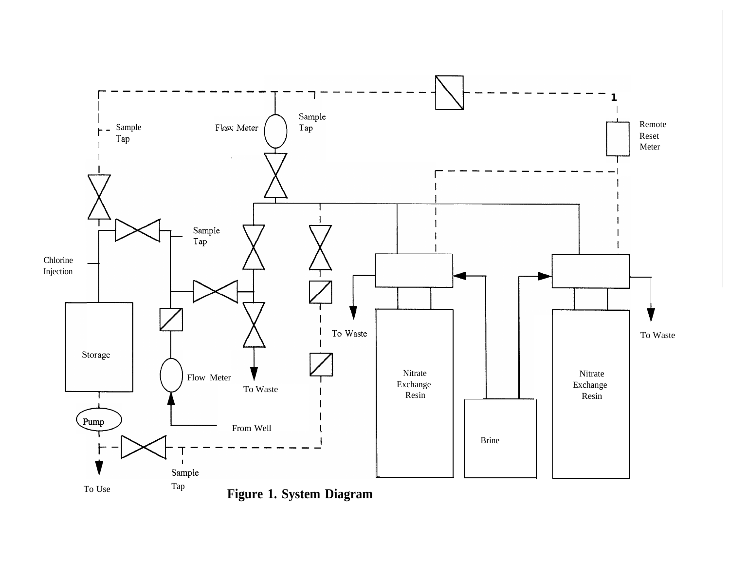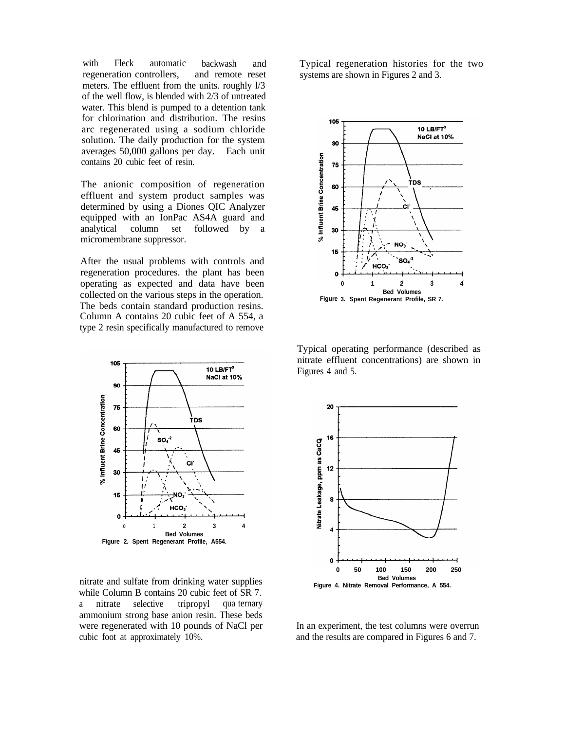with Fleck automatic backwash and regeneration controllers, and remote reset meters. The effluent from the units. roughly l/3 of the well flow, is blended with 2/3 of untreated water. This blend is pumped to a detention tank for chlorination and distribution. The resins arc regenerated using a sodium chloride solution. The daily production for the system averages 50,000 gallons per day. Each unit contains 20 cubic feet of resin.

The anionic composition of regeneration effluent and system product samples was determined by using a Diones QIC Analyzer equipped with an IonPac AS4A guard and analytical column set followed by a micromembrane suppressor.

After the usual problems with controls and regeneration procedures. the plant has been operating as expected and data have been collected on the various steps in the operation. The beds contain standard production resins. Column A contains 20 cubic feet of A 554, a type 2 resin specifically manufactured to remove



nitrate and sulfate from drinking water supplies while Column B contains 20 cubic feet of SR 7. a nitrate selective tripropyl qua ternary ammonium strong base anion resin. These beds were regenerated with 10 pounds of NaCl per cubic foot at approximately 10%.

Typical regeneration histories for the two systems are shown in Figures 2 and 3.



Typical operating performance (described as nitrate effluent concentrations) are shown in Figures 4 and 5.



In an experiment, the test columns were overrun and the results are compared in Figures 6 and 7.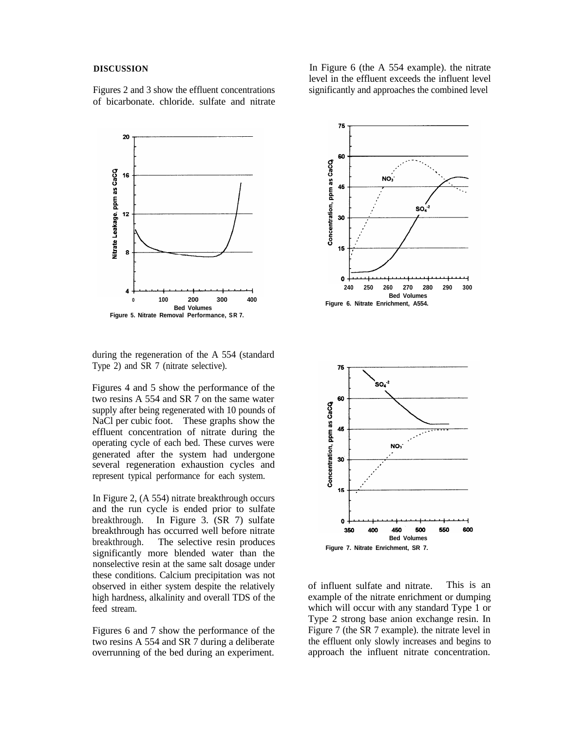#### **DISCUSSION**

Figures 2 and 3 show the effluent concentrations of bicarbonate. chloride. sulfate and nitrate

20 Vitrate Leakage, ppm as CaCQ 16 12 8 **0 100 200 300 400 Bed Volumes**

during the regeneration of the A 554 (standard Type 2) and SR 7 (nitrate selective).

**Figure 5. Nitrate Removal Performance, SR 7.**

Figures 4 and 5 show the performance of the two resins A 554 and SR 7 on the same water supply after being regenerated with 10 pounds of NaCl per cubic foot. These graphs show the effluent concentration of nitrate during the operating cycle of each bed. These curves were generated after the system had undergone several regeneration exhaustion cycles and represent typical performance for each system.

In Figure 2, (A 554) nitrate breakthrough occurs and the run cycle is ended prior to sulfate<br>breakthrough. In Figure 3, (SR 7) sulfate In Figure 3.  $(SR 7)$  sulfate breakthrough has occurred well before nitrate breakthrough. The selective resin produces significantly more blended water than the nonselective resin at the same salt dosage under these conditions. Calcium precipitation was not observed in either system despite the relatively high hardness, alkalinity and overall TDS of the feed stream.

Figures 6 and 7 show the performance of the two resins A 554 and SR 7 during a deliberate overrunning of the bed during an experiment.

In Figure 6 (the A 554 example). the nitrate level in the effluent exceeds the influent level significantly and approaches the combined level



of influent sulfate and nitrate. This is an example of the nitrate enrichment or dumping which will occur with any standard Type 1 or Type 2 strong base anion exchange resin. In Figure 7 (the SR 7 example). the nitrate level in the effluent only slowly increases and begins to approach the influent nitrate concentration.